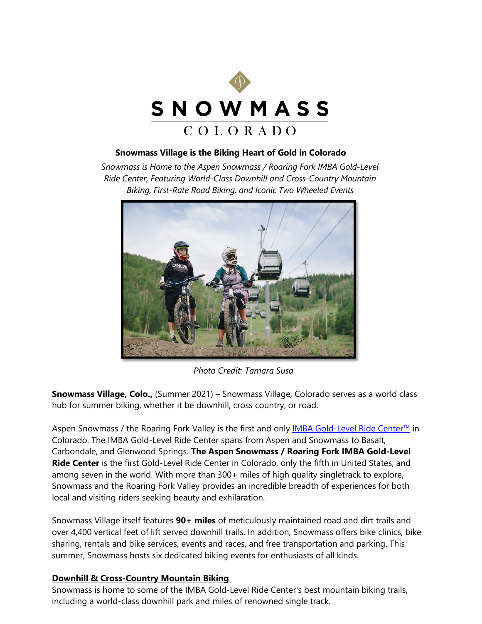

### **Snowmass Village is the Biking Heart of Gold in Colorado**

*Snowmass is Home to the Aspen Snowmass / Roaring Fork IMBA Gold-Level Ride Center, Featuring World-Class Downhill and Cross-Country Mountain Biking, First-Rate Road Biking, and Iconic Two Wheeled Events*



*Photo Credit: Tamara Susa*

**Snowmass Village, Colo.,** (Summer 2021) – Snowmass Village, Colorado serves as a world class hub for summer biking, whether it be downhill, cross country, or road.

Aspen Snowmass / the Roaring Fork Valley is the first and only [IMBA Gold-Level Ride Center™](https://bike.gosnowmass.com/imba-gold-level-ride-center/) in Colorado. The IMBA Gold-Level Ride Center spans from Aspen and Snowmass to Basalt, Carbondale, and Glenwood Springs. **The Aspen Snowmass / Roaring Fork IMBA Gold-Level Ride Center** is the first Gold-Level Ride Center in Colorado, only the fifth in United States, and among seven in the world. With more than 300+ miles of high quality singletrack to explore, Snowmass and the Roaring Fork Valley provides an incredible breadth of experiences for both local and visiting riders seeking beauty and exhilaration.

Snowmass Village itself features **90+ miles** of meticulously maintained road and dirt trails and over 4,400 vertical feet of lift served downhill trails. In addition, Snowmass offers bike clinics, bike sharing, rentals and bike services, events and races, and free transportation and parking. This summer, Snowmass hosts six dedicated biking events for enthusiasts of all kinds.

# **Downhill & Cross-Country Mountain Biking**

Snowmass is home to some of the IMBA Gold-Level Ride Center's best mountain biking trails, including a world-class downhill park and miles of renowned single track.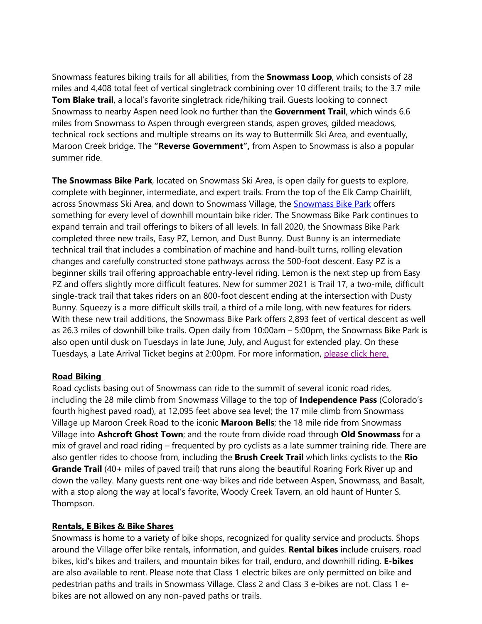Snowmass features biking trails for all abilities, from the **Snowmass Loop**, which consists of 28 miles and 4,408 total feet of vertical singletrack combining over 10 different trails; to the 3.7 mile **Tom Blake trail**, a local's favorite singletrack ride/hiking trail. Guests looking to connect Snowmass to nearby Aspen need look no further than the **Government Trail**, which winds 6.6 miles from Snowmass to Aspen through evergreen stands, aspen groves, gilded meadows, technical rock sections and multiple streams on its way to Buttermilk Ski Area, and eventually, Maroon Creek bridge. The **"Reverse Government",** from Aspen to Snowmass is also a popular summer ride.

**The Snowmass Bike Park**, located on Snowmass Ski Area, is open daily for guests to explore, complete with beginner, intermediate, and expert trails. From the top of the Elk Camp Chairlift, across Snowmass Ski Area, and down to Snowmass Village, the [Snowmass Bike Park](https://www.aspensnowmass.com/plan-your-stay/biking/snowmass-bike-park) offers something for every level of downhill mountain bike rider. The Snowmass Bike Park continues to expand terrain and trail offerings to bikers of all levels. In fall 2020, the Snowmass Bike Park completed three new trails, Easy PZ, Lemon, and Dust Bunny. Dust Bunny is an intermediate technical trail that includes a combination of machine and hand-built turns, rolling elevation changes and carefully constructed stone pathways across the 500-foot descent. Easy PZ is a beginner skills trail offering approachable entry-level riding. Lemon is the next step up from Easy PZ and offers slightly more difficult features. New for summer 2021 is Trail 17, a two-mile, difficult single-track trail that takes riders on an 800-foot descent ending at the intersection with Dusty Bunny. Squeezy is a more difficult skills trail, a third of a mile long, with new features for riders. With these new trail additions, the Snowmass Bike Park offers 2,893 feet of vertical descent as well as 26.3 miles of downhill bike trails. Open daily from 10:00am – 5:00pm, the Snowmass Bike Park is also open until dusk on Tuesdays in late June, July, and August for extended play. On these Tuesdays, a Late Arrival Ticket begins at 2:00pm. For more information, [please click here.](https://www.aspensnowmass.com/plan-your-stay/the-summer-experience/bonus-bike-nights)

### **Road Biking**

Road cyclists basing out of Snowmass can ride to the summit of several iconic road rides, including the 28 mile climb from Snowmass Village to the top of **Independence Pass** (Colorado's fourth highest paved road), at 12,095 feet above sea level; the 17 mile climb from Snowmass Village up Maroon Creek Road to the iconic **Maroon Bells**; the 18 mile ride from Snowmass Village into **Ashcroft Ghost Town**; and the route from divide road through **Old Snowmass** for a mix of gravel and road riding – frequented by pro cyclists as a late summer training ride. There are also gentler rides to choose from, including the **Brush Creek Trail** which links cyclists to the **Rio Grande Trail** (40+ miles of paved trail) that runs along the beautiful Roaring Fork River up and down the valley. Many guests rent one-way bikes and ride between Aspen, Snowmass, and Basalt, with a stop along the way at local's favorite, Woody Creek Tavern, an old haunt of Hunter S. Thompson.

### **Rentals, E Bikes & Bike Shares**

Snowmass is home to a variety of bike shops, recognized for quality service and products. Shops around the Village offer bike rentals, information, and guides. **Rental bikes** include cruisers, road bikes, kid's bikes and trailers, and mountain bikes for trail, enduro, and downhill riding. **E-bikes** are also available to rent. Please note that Class 1 electric bikes are only permitted on bike and pedestrian paths and trails in Snowmass Village. Class 2 and Class 3 e-bikes are not. Class 1 ebikes are not allowed on any non-paved paths or trails.